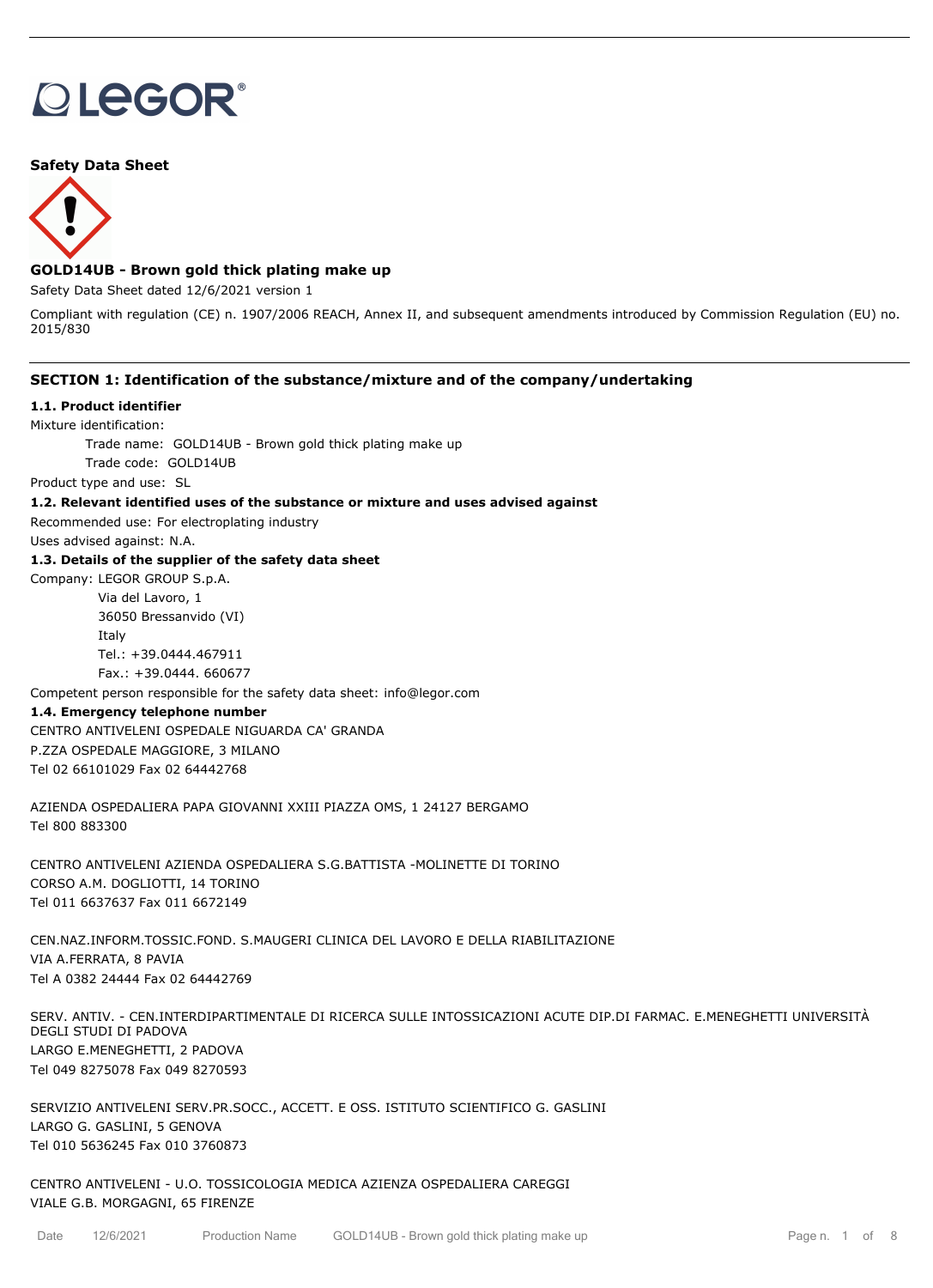# **OLEGOR®**

## **Safety Data Sheet**



## **GOLD14UB - Brown gold thick plating make up**

Safety Data Sheet dated 12/6/2021 version 1

Compliant with regulation (CE) n. 1907/2006 REACH, Annex II, and subsequent amendments introduced by Commission Regulation (EU) no. 2015/830

## **SECTION 1: Identification of the substance/mixture and of the company/undertaking**

## **1.1. Product identifier**

Mixture identification:

Trade name: GOLD14UB - Brown gold thick plating make up

Trade code: GOLD14UB

Product type and use: SL

## **1.2. Relevant identified uses of the substance or mixture and uses advised against**

Recommended use: For electroplating industry

Uses advised against: N.A.

## **1.3. Details of the supplier of the safety data sheet**

Company: LEGOR GROUP S.p.A.

Via del Lavoro, 1 36050 Bressanvido (VI) Italy Tel.: +39.0444.467911 Fax.: +39.0444. 660677

Competent person responsible for the safety data sheet: info@legor.com

## **1.4. Emergency telephone number**

CENTRO ANTIVELENI OSPEDALE NIGUARDA CA' GRANDA P.ZZA OSPEDALE MAGGIORE, 3 MILANO Tel 02 66101029 Fax 02 64442768

AZIENDA OSPEDALIERA PAPA GIOVANNI XXIII PIAZZA OMS, 1 24127 BERGAMO Tel 800 883300

CENTRO ANTIVELENI AZIENDA OSPEDALIERA S.G.BATTISTA -MOLINETTE DI TORINO CORSO A.M. DOGLIOTTI, 14 TORINO Tel 011 6637637 Fax 011 6672149

CEN.NAZ.INFORM.TOSSIC.FOND. S.MAUGERI CLINICA DEL LAVORO E DELLA RIABILITAZIONE VIA A.FERRATA, 8 PAVIA Tel A 0382 24444 Fax 02 64442769

SERV. ANTIV. - CEN.INTERDIPARTIMENTALE DI RICERCA SULLE INTOSSICAZIONI ACUTE DIP.DI FARMAC. E.MENEGHETTI UNIVERSITÀ DEGLI STUDI DI PADOVA LARGO E.MENEGHETTI, 2 PADOVA Tel 049 8275078 Fax 049 8270593

SERVIZIO ANTIVELENI SERV.PR.SOCC., ACCETT. E OSS. ISTITUTO SCIENTIFICO G. GASLINI LARGO G. GASLINI, 5 GENOVA Tel 010 5636245 Fax 010 3760873

CENTRO ANTIVELENI - U.O. TOSSICOLOGIA MEDICA AZIENZA OSPEDALIERA CAREGGI VIALE G.B. MORGAGNI, 65 FIRENZE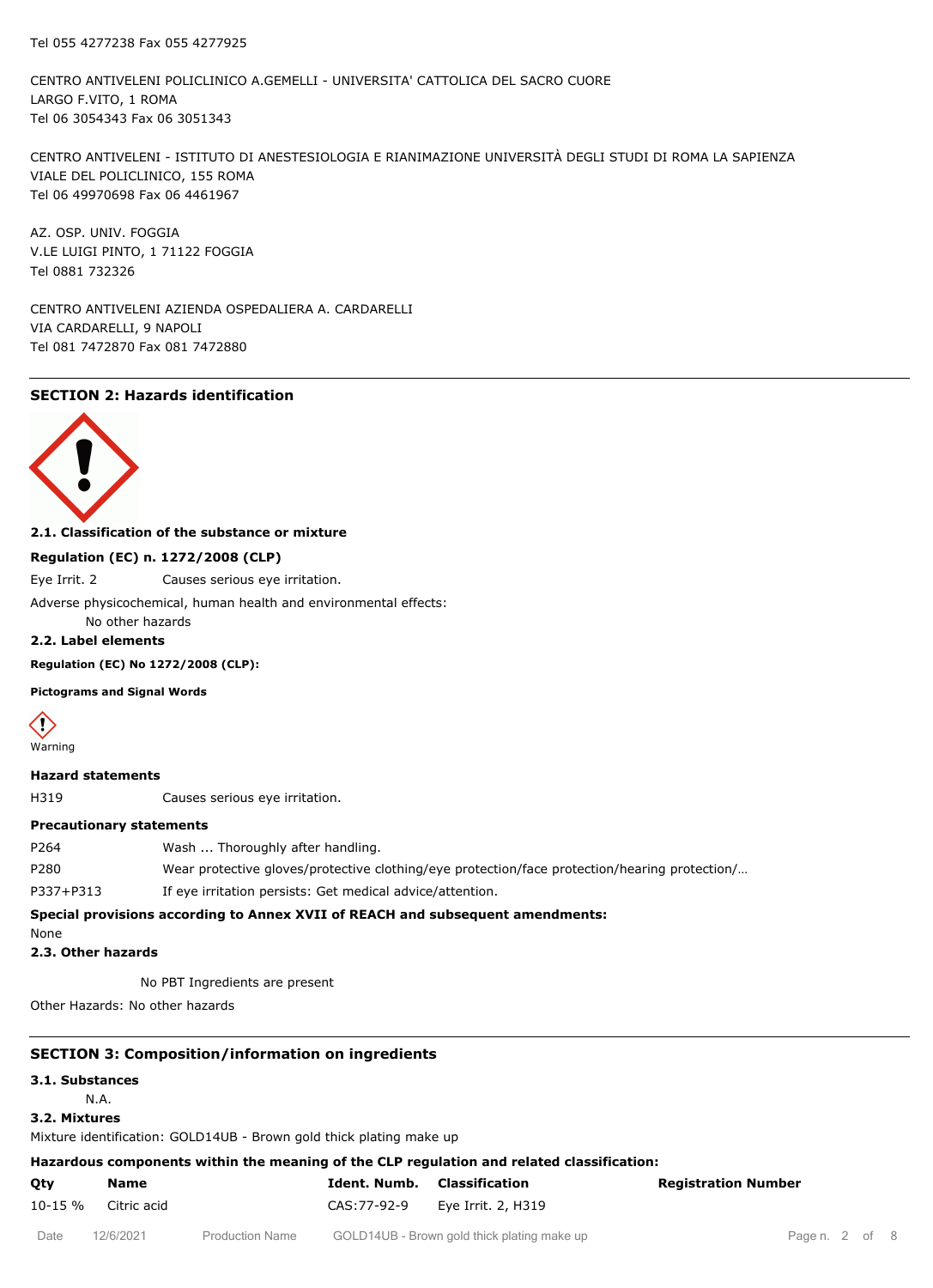CENTRO ANTIVELENI POLICLINICO A.GEMELLI - UNIVERSITA' CATTOLICA DEL SACRO CUORE LARGO F.VITO, 1 ROMA Tel 06 3054343 Fax 06 3051343

CENTRO ANTIVELENI - ISTITUTO DI ANESTESIOLOGIA E RIANIMAZIONE UNIVERSITÀ DEGLI STUDI DI ROMA LA SAPIENZA VIALE DEL POLICLINICO, 155 ROMA Tel 06 49970698 Fax 06 4461967

AZ. OSP. UNIV. FOGGIA V.LE LUIGI PINTO, 1 71122 FOGGIA Tel 0881 732326

CENTRO ANTIVELENI AZIENDA OSPEDALIERA A. CARDARELLI VIA CARDARELLI, 9 NAPOLI Tel 081 7472870 Fax 081 7472880

## **SECTION 2: Hazards identification**



## **2.1. Classification of the substance or mixture**

#### **Regulation (EC) n. 1272/2008 (CLP)**

Eye Irrit. 2 Causes serious eye irritation.

Adverse physicochemical, human health and environmental effects:

No other hazards

**2.2. Label elements**

### **Regulation (EC) No 1272/2008 (CLP):**

## **Pictograms and Signal Words**



**Hazard statements**

H319 Causes serious eye irritation.

#### **Precautionary statements**

| Control providence approximate Append <b>ives</b> of DEACH and colorations and approximate |                                                                                               |  |  |  |
|--------------------------------------------------------------------------------------------|-----------------------------------------------------------------------------------------------|--|--|--|
| P337+P313                                                                                  | If eye irritation persists: Get medical advice/attention.                                     |  |  |  |
| P280                                                                                       | Wear protective gloves/protective clothing/eye protection/face protection/hearing protection/ |  |  |  |
| P <sub>264</sub>                                                                           | Wash  Thoroughly after handling.                                                              |  |  |  |

#### **Special provisions according to Annex XVII of REACH and subsequent amendments:**

None

**2.3. Other hazards**

No PBT Ingredients are present

Other Hazards: No other hazards

## **SECTION 3: Composition/information on ingredients**

## **3.1. Substances**

# N.A.

**3.2. Mixtures**

Mixture identification: GOLD14UB - Brown gold thick plating make up

## **Hazardous components within the meaning of the CLP regulation and related classification:**

| Qty                 | Name | <b>Ident. Numb.</b> Classification |                                 | <b>Registration Number</b> |
|---------------------|------|------------------------------------|---------------------------------|----------------------------|
| 10-15 % Citric acid |      |                                    | CAS: 77-92-9 Eye Irrit. 2, H319 |                            |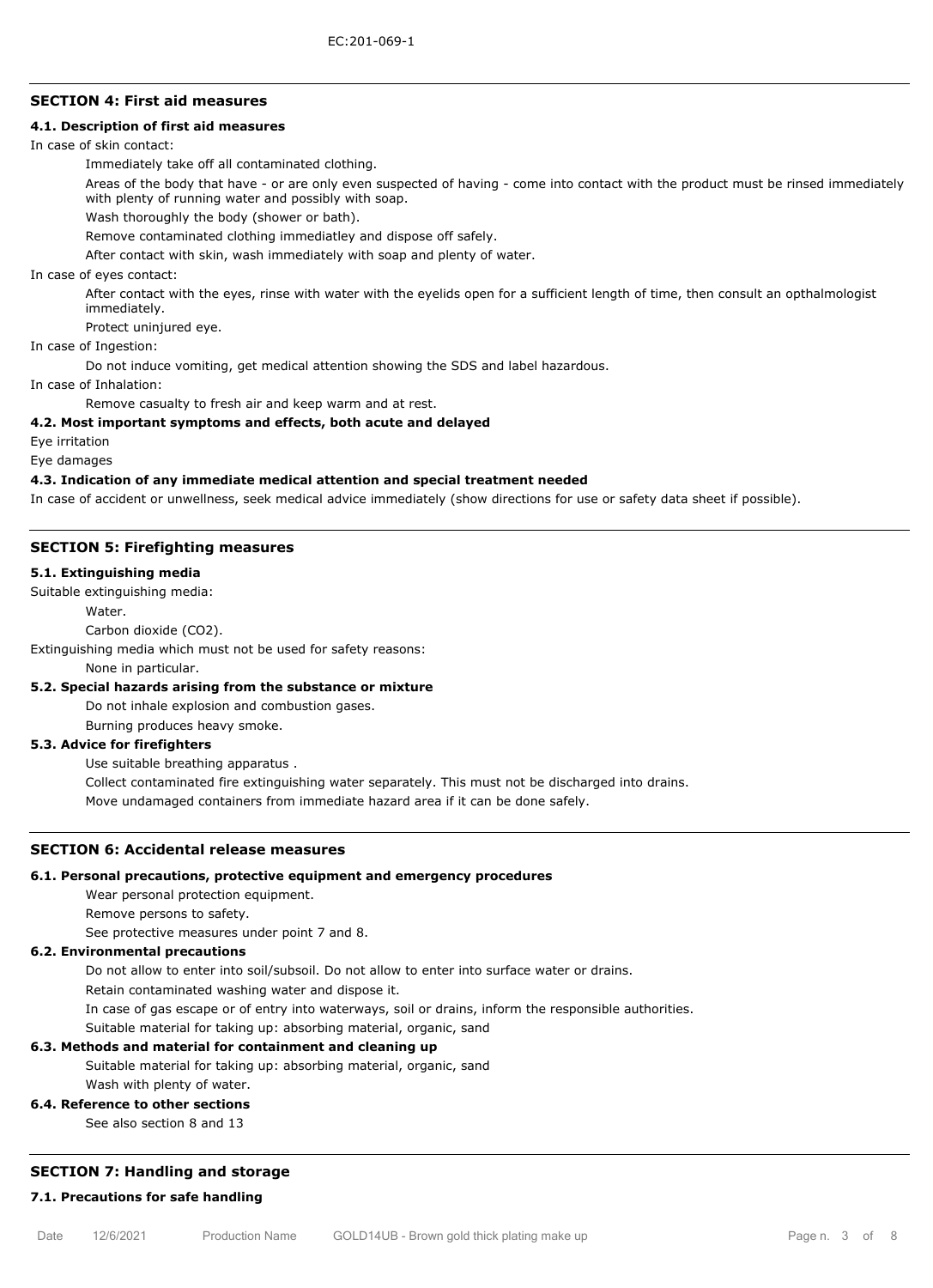## **SECTION 4: First aid measures**

## **4.1. Description of first aid measures**

In case of skin contact:

Immediately take off all contaminated clothing.

Areas of the body that have - or are only even suspected of having - come into contact with the product must be rinsed immediately with plenty of running water and possibly with soap.

Wash thoroughly the body (shower or bath).

Remove contaminated clothing immediatley and dispose off safely.

After contact with skin, wash immediately with soap and plenty of water.

In case of eyes contact:

After contact with the eyes, rinse with water with the eyelids open for a sufficient length of time, then consult an opthalmologist immediately.

Protect uninjured eye.

## In case of Ingestion:

Do not induce vomiting, get medical attention showing the SDS and label hazardous.

In case of Inhalation:

Remove casualty to fresh air and keep warm and at rest.

#### **4.2. Most important symptoms and effects, both acute and delayed**

Eye irritation

Eye damages

#### **4.3. Indication of any immediate medical attention and special treatment needed**

In case of accident or unwellness, seek medical advice immediately (show directions for use or safety data sheet if possible).

#### **SECTION 5: Firefighting measures**

#### **5.1. Extinguishing media**

Suitable extinguishing media:

Water

Carbon dioxide (CO2).

Extinguishing media which must not be used for safety reasons:

None in particular.

#### **5.2. Special hazards arising from the substance or mixture**

Do not inhale explosion and combustion gases.

Burning produces heavy smoke.

## **5.3. Advice for firefighters**

Use suitable breathing apparatus .

Collect contaminated fire extinguishing water separately. This must not be discharged into drains.

Move undamaged containers from immediate hazard area if it can be done safely.

## **SECTION 6: Accidental release measures**

#### **6.1. Personal precautions, protective equipment and emergency procedures**

Wear personal protection equipment.

Remove persons to safety.

See protective measures under point 7 and 8.

#### **6.2. Environmental precautions**

Do not allow to enter into soil/subsoil. Do not allow to enter into surface water or drains.

Retain contaminated washing water and dispose it.

In case of gas escape or of entry into waterways, soil or drains, inform the responsible authorities.

Suitable material for taking up: absorbing material, organic, sand

#### **6.3. Methods and material for containment and cleaning up**

Suitable material for taking up: absorbing material, organic, sand

Wash with plenty of water.

## **6.4. Reference to other sections**

See also section 8 and 13

## **SECTION 7: Handling and storage**

## **7.1. Precautions for safe handling**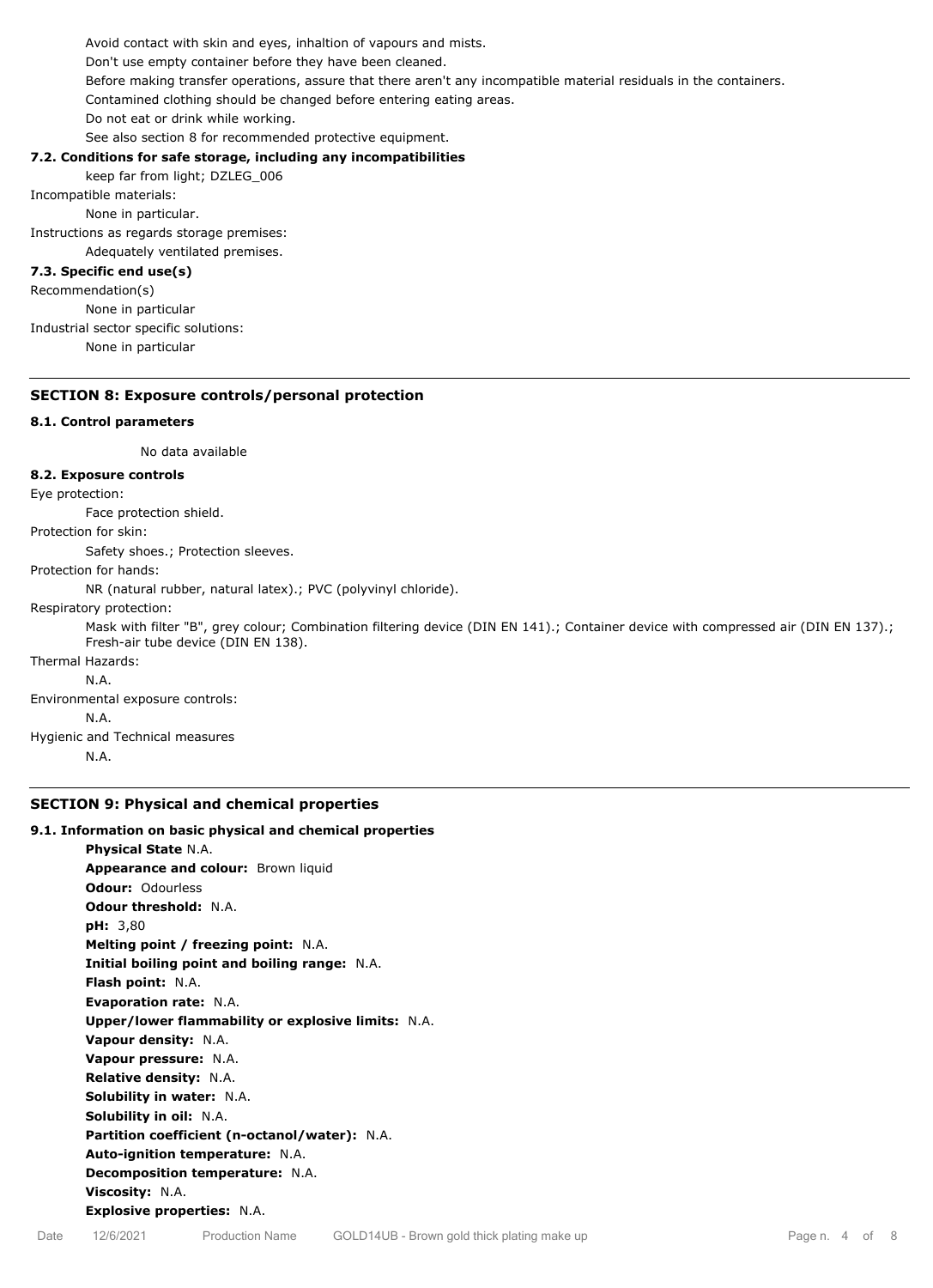Avoid contact with skin and eyes, inhaltion of vapours and mists. Don't use empty container before they have been cleaned. Before making transfer operations, assure that there aren't any incompatible material residuals in the containers. Contamined clothing should be changed before entering eating areas. Do not eat or drink while working. See also section 8 for recommended protective equipment.

## **7.2. Conditions for safe storage, including any incompatibilities**

keep far from light; DZLEG\_006

Incompatible materials:

None in particular.

Instructions as regards storage premises:

Adequately ventilated premises.

# **7.3. Specific end use(s)**

Recommendation(s) None in particular Industrial sector specific solutions: None in particular

## **SECTION 8: Exposure controls/personal protection**

## **8.1. Control parameters**

No data available

## **8.2. Exposure controls**

Eye protection:

Face protection shield.

Protection for skin:

Safety shoes.; Protection sleeves.

Protection for hands:

NR (natural rubber, natural latex).; PVC (polyvinyl chloride).

Respiratory protection:

Mask with filter "B", grey colour; Combination filtering device (DIN EN 141).; Container device with compressed air (DIN EN 137).; Fresh-air tube device (DIN EN 138).

# Thermal Hazards:

N.A.

Environmental exposure controls: N.A.

Hygienic and Technical measures

N.A.

## **SECTION 9: Physical and chemical properties**

## **9.1. Information on basic physical and chemical properties**

**Physical State** N.A. **Appearance and colour: Brown liquid Odour:** Odourless **Odour threshold:** N.A. **pH:** 3,80 **Melting point / freezing point:** N.A. **Initial boiling point and boiling range:** N.A. **Flash point:** N.A. **Evaporation rate:** N.A. **Upper/lower flammability or explosive limits:** N.A. **Vapour density:** N.A. **Vapour pressure:** N.A. **Relative density:** N.A. **Solubility in water:** N.A. **Solubility in oil:** N.A. **Partition coefficient (n-octanol/water):** N.A. **Auto-ignition temperature:** N.A. **Decomposition temperature:** N.A. **Viscosity:** N.A. **Explosive properties:** N.A.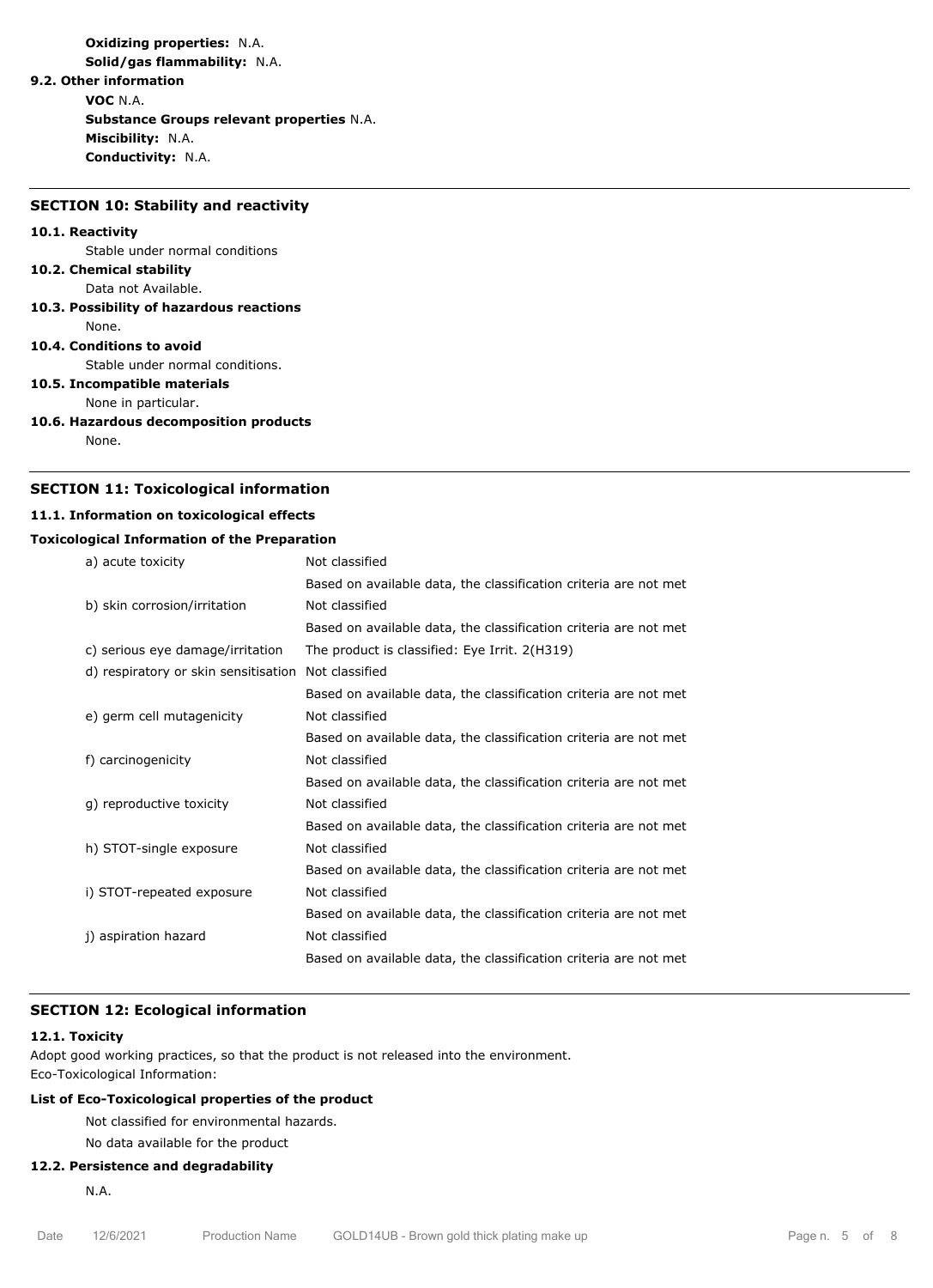**Oxidizing properties:** N.A. **Solid/gas flammability:** N.A.

**9.2. Other information**

**VOC** N.A.

**Substance Groups relevant properties** N.A. **Miscibility:** N.A. **Conductivity:** N.A.

#### **SECTION 10: Stability and reactivity**

#### **10.1. Reactivity**

Stable under normal conditions

- **10.2. Chemical stability**
- Data not Available.
- **10.3. Possibility of hazardous reactions** None.

## **10.4. Conditions to avoid**

Stable under normal conditions.

# **10.5. Incompatible materials**

None in particular.

**10.6. Hazardous decomposition products** None.

## **SECTION 11: Toxicological information**

## **11.1. Information on toxicological effects**

## **Toxicological Information of the Preparation**

| a) acute toxicity                    | Not classified                                                   |  |  |
|--------------------------------------|------------------------------------------------------------------|--|--|
|                                      | Based on available data, the classification criteria are not met |  |  |
| b) skin corrosion/irritation         | Not classified                                                   |  |  |
|                                      | Based on available data, the classification criteria are not met |  |  |
| c) serious eye damage/irritation     | The product is classified: Eye Irrit. 2(H319)                    |  |  |
| d) respiratory or skin sensitisation | Not classified                                                   |  |  |
|                                      | Based on available data, the classification criteria are not met |  |  |
| e) germ cell mutagenicity            | Not classified                                                   |  |  |
|                                      | Based on available data, the classification criteria are not met |  |  |
| f) carcinogenicity                   | Not classified                                                   |  |  |
|                                      | Based on available data, the classification criteria are not met |  |  |
| g) reproductive toxicity             | Not classified                                                   |  |  |
|                                      | Based on available data, the classification criteria are not met |  |  |
| h) STOT-single exposure              | Not classified                                                   |  |  |
|                                      | Based on available data, the classification criteria are not met |  |  |
| i) STOT-repeated exposure            | Not classified                                                   |  |  |
|                                      | Based on available data, the classification criteria are not met |  |  |
| j) aspiration hazard                 | Not classified                                                   |  |  |
|                                      | Based on available data, the classification criteria are not met |  |  |

## **SECTION 12: Ecological information**

#### **12.1. Toxicity**

Adopt good working practices, so that the product is not released into the environment. Eco-Toxicological Information:

## **List of Eco-Toxicological properties of the product**

Not classified for environmental hazards.

No data available for the product

### **12.2. Persistence and degradability**

N.A.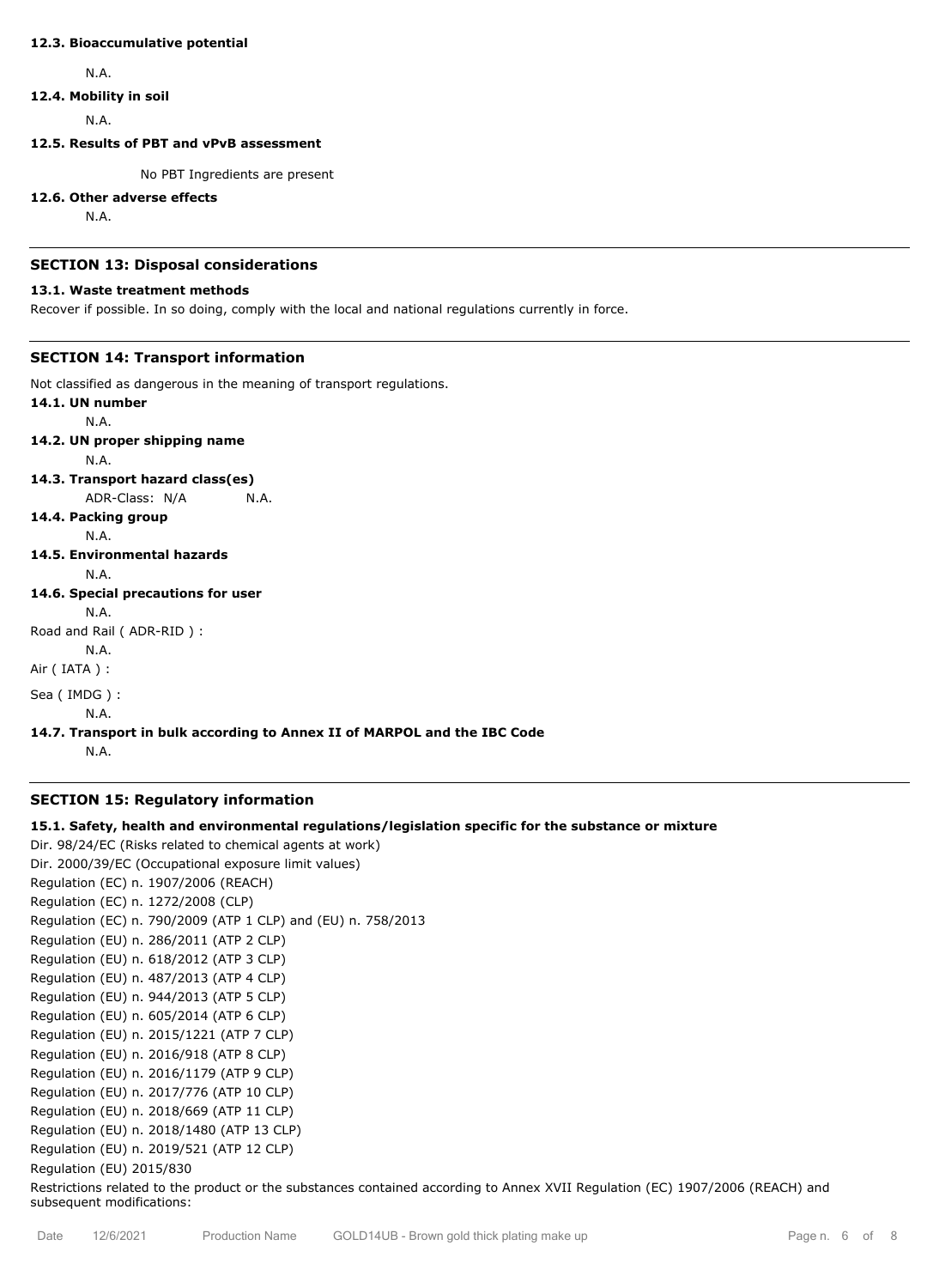#### **12.3. Bioaccumulative potential**

N.A.

#### **12.4. Mobility in soil**

N.A.

## **12.5. Results of PBT and vPvB assessment**

No PBT Ingredients are present

#### **12.6. Other adverse effects**

N.A.

## **SECTION 13: Disposal considerations**

## **13.1. Waste treatment methods**

Recover if possible. In so doing, comply with the local and national regulations currently in force.

## **SECTION 14: Transport information**

Not classified as dangerous in the meaning of transport regulations.

# **14.1. UN number**

N.A.

# **14.2. UN proper shipping name**

N.A.

## **14.3. Transport hazard class(es)**

ADR-Class: N/A N.A.

## **14.4. Packing group**

N.A.

# **14.5. Environmental hazards**

N.A.

## **14.6. Special precautions for user**

```
N.A.
```
Road and Rail ( ADR-RID ) :

N.A.

Air ( IATA ) :

```
Sea ( IMDG ) :
```
N.A.

## **14.7. Transport in bulk according to Annex II of MARPOL and the IBC Code**

N.A.

## **SECTION 15: Regulatory information**

## **15.1. Safety, health and environmental regulations/legislation specific for the substance or mixture**

Dir. 98/24/EC (Risks related to chemical agents at work) Dir. 2000/39/EC (Occupational exposure limit values) Regulation (EC) n. 1907/2006 (REACH) Regulation (EC) n. 1272/2008 (CLP) Regulation (EC) n. 790/2009 (ATP 1 CLP) and (EU) n. 758/2013 Regulation (EU) n. 286/2011 (ATP 2 CLP) Regulation (EU) n. 618/2012 (ATP 3 CLP) Regulation (EU) n. 487/2013 (ATP 4 CLP) Regulation (EU) n. 944/2013 (ATP 5 CLP) Regulation (EU) n. 605/2014 (ATP 6 CLP) Regulation (EU) n. 2015/1221 (ATP 7 CLP) Regulation (EU) n. 2016/918 (ATP 8 CLP) Regulation (EU) n. 2016/1179 (ATP 9 CLP) Regulation (EU) n. 2017/776 (ATP 10 CLP) Regulation (EU) n. 2018/669 (ATP 11 CLP) Regulation (EU) n. 2018/1480 (ATP 13 CLP) Regulation (EU) n. 2019/521 (ATP 12 CLP) Regulation (EU) 2015/830 Restrictions related to the product or the substances contained according to Annex XVII Regulation (EC) 1907/2006 (REACH) and subsequent modifications: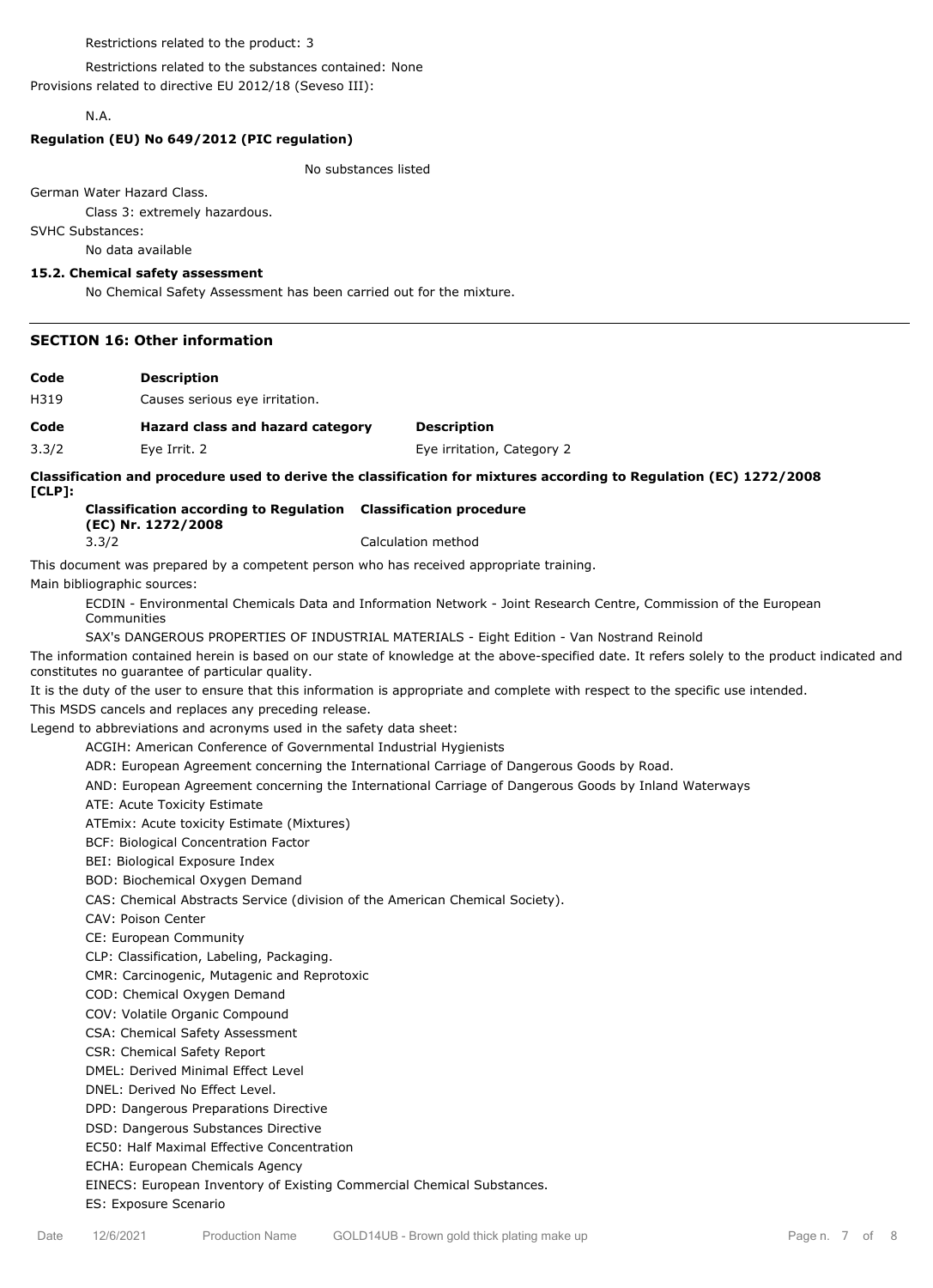#### Restrictions related to the product: 3

Restrictions related to the substances contained: None

Provisions related to directive EU 2012/18 (Seveso III):

## N.A.

#### **Regulation (EU) No 649/2012 (PIC regulation)**

#### No substances listed

German Water Hazard Class.

Class 3: extremely hazardous.

SVHC Substances:

No data available

#### **15.2. Chemical safety assessment**

No Chemical Safety Assessment has been carried out for the mixture.

#### **SECTION 16: Other information**

| Code | <b>Description</b> |
|------|--------------------|
|------|--------------------|

H319 Causes serious eye irritation.

## **Code Hazard class and hazard category Description**

3.3/2 Eye Irrit. 2 Eye irritation, Category 2

#### **Classification and procedure used to derive the classification for mixtures according to Regulation (EC) 1272/2008**

**[CLP]:**

### **Classification according to Regulation Classification procedure (EC) Nr. 1272/2008** 3.3/2 Calculation method

This document was prepared by a competent person who has received appropriate training.

Main bibliographic sources:

ECDIN - Environmental Chemicals Data and Information Network - Joint Research Centre, Commission of the European Communities

SAX's DANGEROUS PROPERTIES OF INDUSTRIAL MATERIALS - Eight Edition - Van Nostrand Reinold

The information contained herein is based on our state of knowledge at the above-specified date. It refers solely to the product indicated and constitutes no guarantee of particular quality.

It is the duty of the user to ensure that this information is appropriate and complete with respect to the specific use intended.

This MSDS cancels and replaces any preceding release.

Legend to abbreviations and acronyms used in the safety data sheet:

ACGIH: American Conference of Governmental Industrial Hygienists

ADR: European Agreement concerning the International Carriage of Dangerous Goods by Road.

AND: European Agreement concerning the International Carriage of Dangerous Goods by Inland Waterways

ATE: Acute Toxicity Estimate

ATEmix: Acute toxicity Estimate (Mixtures)

BCF: Biological Concentration Factor

BEI: Biological Exposure Index

BOD: Biochemical Oxygen Demand

CAS: Chemical Abstracts Service (division of the American Chemical Society).

CAV: Poison Center

CE: European Community

CLP: Classification, Labeling, Packaging.

CMR: Carcinogenic, Mutagenic and Reprotoxic

COD: Chemical Oxygen Demand

COV: Volatile Organic Compound

CSA: Chemical Safety Assessment

CSR: Chemical Safety Report

DMEL: Derived Minimal Effect Level

DNEL: Derived No Effect Level.

DPD: Dangerous Preparations Directive

DSD: Dangerous Substances Directive

EC50: Half Maximal Effective Concentration

ECHA: European Chemicals Agency

EINECS: European Inventory of Existing Commercial Chemical Substances.

ES: Exposure Scenario